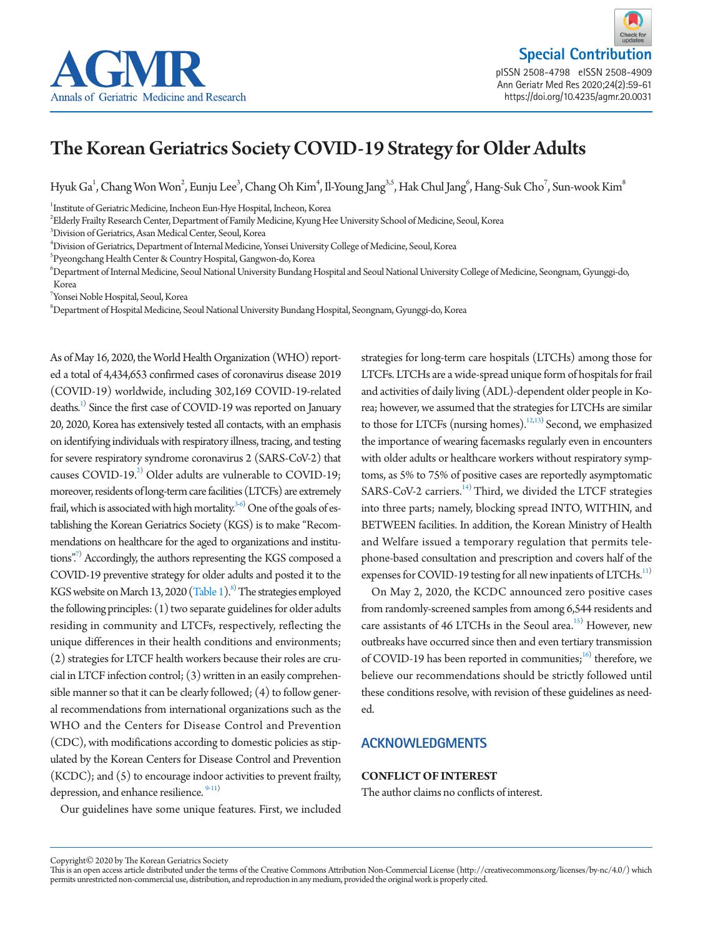

**Special Contribution** pISSN 2508-4798 eISSN 2508-4909 Ann Geriatr Med Res 2020;24(2):59-61 https://doi.org/10.4235/agmr.20.0033 https://doi.org/10.4235/agmr.20.0031

# The Korean Geriatrics Society COVID-19 Strategy for Older Adults

Hyuk Ga<sup>1</sup>, Chang Won Won<sup>2</sup>, Eunju Lee<sup>3</sup>, Chang Oh Kim<sup>4</sup>, Il-Young Jang<sup>3,5</sup>, Hak Chul Jang<sup>6</sup>, Hang-Suk Cho<sup>7</sup>, Sun-wook Kim<sup>8</sup>

<sup>1</sup>Institute of Geriatric Medicine, Incheon Eun-Hye Hospital, Incheon, Korea

2 Elderly Frailty Research Center, Department of Family Medicine, Kyung Hee University School of Medicine, Seoul, Korea

3 Division of Geriatrics, Asan Medical Center, Seoul, Korea

4 Division of Geriatrics, Department of Internal Medicine, Yonsei University College of Medicine, Seoul, Korea

5 Pyeongchang Health Center & Country Hospital, Gangwon-do, Korea

6 Department of Internal Medicine, Seoul National University Bundang Hospital and Seoul National University College of Medicine, Seongnam, Gyunggi-do, Korea

7 Yonsei Noble Hospital, Seoul, Korea

 $^{\rm 8}$ Department of Hospital Medicine, Seoul National University Bundang Hospital, Seongnam, Gyunggi-do, Korea

As of May 16, 2020, the World Health Organization (WHO) reported a total of 4,434,653 confirmed cases of coronavirus disease 2019 (COVID-19) worldwide, including 302,169 COVID-19-related deaths.<sup>1)</sup> Since the first case of COVID-19 was reported on January 20, 2020, Korea has extensively tested all contacts, with an emphasis on identifying individuals with respiratory illness, tracing, and testing for severe respiratory syndrome coronavirus 2 (SARS-CoV-2) that causes COVID-19. $^{2)}$  Older adults are vulnerable to COVID-19; moreover, residents of long-term care facilities (LTCFs) are extremely frail, which is associated with high mortality. $^{3\text{-}6)}$  One of the goals of establishing the Korean Geriatrics Society (KGS) is to make "Recommendations on healthcare for the aged to organizations and institutions".<sup>7</sup> Accordingly, the authors representing the KGS composed a COVID-19 preventive strategy for older adults and posted it to the KGS website on March 13, 2020 [\(Table 1\)](#page-1-5).<sup>8)</sup> The strategies employed the following principles: (1) two separate guidelines for older adults residing in community and LTCFs, respectively, reflecting the unique differences in their health conditions and environments; (2) strategies for LTCF health workers because their roles are crucial in LTCF infection control; (3) written in an easily comprehensible manner so that it can be clearly followed; (4) to follow general recommendations from international organizations such as the WHO and the Centers for Disease Control and Prevention (CDC), with modifications according to domestic policies as stipulated by the Korean Centers for Disease Control and Prevention (KCDC); and (5) to encourage indoor activities to prevent frailty, depression, and enhance resilience.  $9-11$  $9-11$ 

Our guidelines have some unique features. First, we included

strategies for long-term care hospitals (LTCHs) among those for LTCFs. LTCHs are a wide-spread unique form of hospitals for frail and activities of daily living (ADL)-dependent older people in Korea; however, we assumed that the strategies for LTCHs are similar to those for LTCFs (nursing homes).<sup>12,[13](#page-2-2))</sup> Second, we emphasized the importance of wearing facemasks regularly even in encounters with older adults or healthcare workers without respiratory symptoms, as 5% to 75% of positive cases are reportedly asymptomatic SARS-CoV-2 carriers.<sup>14)</sup> Third, we divided the LTCF strategies into three parts; namely, blocking spread INTO, WITHIN, and BETWEEN facilities. In addition, the Korean Ministry of Health and Welfare issued a temporary regulation that permits telephone-based consultation and prescription and covers half of the expenses for COVID-19 testing for all new inpatients of LTCHs.<sup>11)</sup>

On May 2, 2020, the KCDC announced zero positive cases from randomly-screened samples from among 6,544 residents and care assistants of 46 LTCHs in the Seoul area.<sup>15)</sup> However, new outbreaks have occurred since then and even tertiary transmission of COVID-19 has been reported in communities; $^{16}$  therefore, we believe our recommendations should be strictly followed until these conditions resolve, with revision of these guidelines as needed.

## **ACKNOWLEDGMENTS**

### **CONFLICT OF INTEREST**

The author claims no conflicts of interest.

Copyright© 2020 by The Korean Geriatrics Society

This is an open access article distributed under the terms of the Creative Commons Attribution Non-Commercial License (http://creativecommons.org/licenses/by-nc/4.0/) which permits unrestricted non-commercial use, distribution, and reproduction in any medium, provided the original work is properly cited.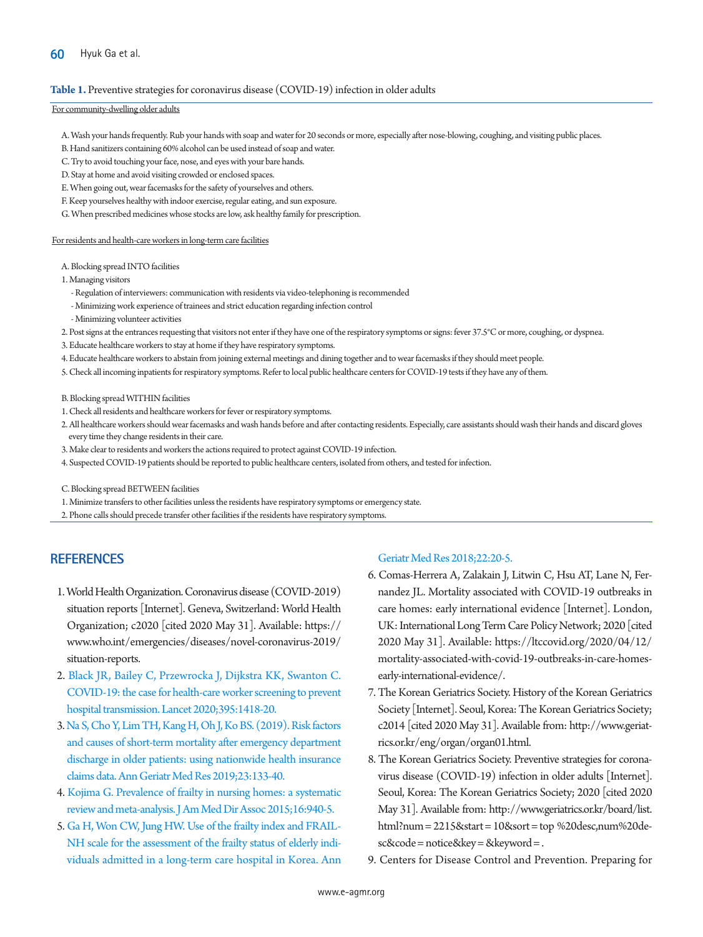#### <span id="page-1-5"></span>**Table 1.** Preventive strategies for coronavirus disease (COVID-19) infection in older adults

#### For community-dwelling older adults

- A. Wash your hands frequently. Rub your hands with soap and water for 20 seconds or more, especially after nose-blowing, coughing, and visiting public places.
- B. Hand sanitizers containing 60% alcohol can be used instead of soap and water.
- C. Try to avoid touching your face, nose, and eyes with your bare hands.
- D. Stay at home and avoid visiting crowded or enclosed spaces.
- E. When going out, wear facemasks for the safety of yourselves and others.
- F. Keep yourselves healthy with indoor exercise, regular eating, and sun exposure.
- G. When prescribed medicines whose stocks are low, ask healthy family for prescription.

For residents and health-care workers in long-term care facilities

- A. Blocking spread INTO facilities
- 1. Managing visitors
	- Regulation of interviewers: communication with residents via video-telephoning is recommended
	- Minimizing work experience of trainees and strict education regarding infection control
	- Minimizing volunteer activities
- 2. Post signs at the entrances requesting that visitors not enter if they have one of the respiratory symptoms or signs: fever 37.5°C or more, coughing, or dyspnea.
- 3. Educate healthcare workers to stay at home if they have respiratory symptoms.
- 4. Educate healthcare workers to abstain from joining external meetings and dining together and to wear facemasks if they should meet people.
- 5. Check all incoming inpatients for respiratory symptoms. Refer to local public healthcare centers for COVID-19 tests if they have any of them.
- B. Blocking spread WITHIN facilities
- 1. Check all residents and healthcare workers for fever or respiratory symptoms.
- 2. All healthcare workers should wear facemasks and wash hands before and after contacting residents. Especially, care assistants should wash their hands and discard gloves every time they change residents in their care.
- 3. Make clear to residents and workers the actions required to protect against COVID-19 infection.
- 4. Suspected COVID-19 patients should be reported to public healthcare centers, isolated from others, and tested for infection.

C. Blocking spread BETWEEN facilities

1. Minimize transfers to other facilities unless the residents have respiratory symptoms or emergency state.

2. Phone calls should precede transfer other facilities if the residents have respiratory symptoms.

## **REFERENCES**

- <span id="page-1-0"></span>1. World Health Organization. Coronavirus disease (COVID-2019) situation reports [Internet]. Geneva, Switzerland: World Health Organization; c2020 [cited 2020 May 31]. Available: https:// <www.who.int/emergencies/diseases/novel->coronavirus-2019/ situation-reports.
- <span id="page-1-1"></span>2. [Black JR, Bailey C, Przewrocka J, Dijkstra KK, Swanton C.](https://doi.org/10.1016/S0140-6736(20)30917-X)  [COVID-19: the case for health-care worker screening to prevent](https://doi.org/10.1016/S0140-6736(20)30917-X)  [hospital transmission. Lancet 2020;395:1418-20.](https://doi.org/10.1016/S0140-6736(20)30917-X)
- <span id="page-1-2"></span>3. [Na S, Cho Y, Lim TH, Kang H, Oh J, Ko BS. \(2019\). Risk factors](https://doi.org/10.4235/agmr.19.0029)  [and causes of short-term mortality after emergency department](https://doi.org/10.4235/agmr.19.0029)  [discharge in older patients: using nationwide health insurance](https://doi.org/10.4235/agmr.19.0029)  [claims data. Ann Geriatr Med Res](https://doi.org/10.4235/agmr.19.0029) 2019;23:133-40.
- 4. [Kojima G. Prevalence of frailty in nursing homes: a systematic](https://doi.org/10.1016/j.jamda.2015.06.025)  [review and meta-analysis. J Am Med Dir Assoc 2015;16:940-5.](https://doi.org/10.1016/j.jamda.2015.06.025)
- 5. [Ga H, Won CW, Jung HW. Use of the frailty index and FRAIL-](https://doi.org/10.4235/agmr.2018.22.1.20)[NH scale for the assessment of the frailty status of elderly indi](https://doi.org/10.4235/agmr.2018.22.1.20)[viduals admitted in a long-term care hospital in Korea. Ann](https://doi.org/10.4235/agmr.2018.22.1.20)

#### [Geriatr Med Res 2018;22:20-5.](https://doi.org/10.4235/agmr.2018.22.1.20)

- <span id="page-1-3"></span>6. Comas-Herrera A, Zalakain J, Litwin C, Hsu AT, Lane N, Fernandez JL. Mortality associated with COVID-19 outbreaks in care homes: early international evidence [Internet]. London, UK: International Long Term Care Policy Network; 2020 [cited 2020 May 31]. Available: https://ltccovid.org/2020/04/12/ mortality-associated-with-covid-19-outbreaks-in-care-homesearly-international-evidence/.
- <span id="page-1-4"></span>7. The Korean Geriatrics Society. History of the Korean Geriatrics Society [Internet]. Seoul, Korea: The Korean Geriatrics Society; c2014 [cited 2020 May 31]. Available from: http:[//www.geriat](www.geriatrics.or.kr/eng/organ/organ01.html.)[rics.or.kr/eng/organ/organ01.html.](www.geriatrics.or.kr/eng/organ/organ01.html.)
- <span id="page-1-6"></span>8. The Korean Geriatrics Society. Preventive strategies for coronavirus disease (COVID-19) infection in older adults [Internet]. Seoul, Korea: The Korean Geriatrics Society; 2020 [cited 2020 May 31]. Available from: http:/[/www.geriatrics.or.kr/board/list.](www.geriatrics.or.kr/board/list.html?num=2215&start=10&sort=top) [html?num = 2215&start = 10&sort = top](www.geriatrics.or.kr/board/list.html?num=2215&start=10&sort=top) %20desc,num%20desc&code = notice&key = &keyword = .
- <span id="page-1-7"></span>9. Centers for Disease Control and Prevention. Preparing for